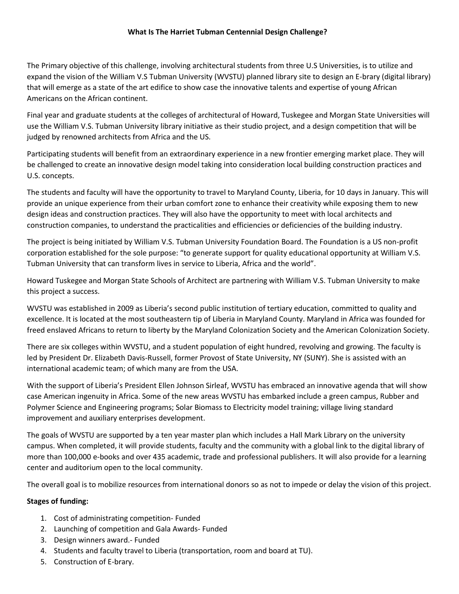## **What Is The Harriet Tubman Centennial Design Challenge?**

The Primary objective of this challenge, involving architectural students from three U.S Universities, is to utilize and expand the vision of the William V.S Tubman University (WVSTU) planned library site to design an E-brary (digital library) that will emerge as a state of the art edifice to show case the innovative talents and expertise of young African Americans on the African continent.

Final year and graduate students at the colleges of architectural of Howard, Tuskegee and Morgan State Universities will use the William V.S. Tubman University library initiative as their studio project, and a design competition that will be judged by renowned architects from Africa and the US.

Participating students will benefit from an extraordinary experience in a new frontier emerging market place. They will be challenged to create an innovative design model taking into consideration local building construction practices and U.S. concepts.

The students and faculty will have the opportunity to travel to Maryland County, Liberia, for 10 days in January. This will provide an unique experience from their urban comfort zone to enhance their creativity while exposing them to new design ideas and construction practices. They will also have the opportunity to meet with local architects and construction companies, to understand the practicalities and efficiencies or deficiencies of the building industry.

The project is being initiated by William V.S. Tubman University Foundation Board. The Foundation is a US non-profit corporation established for the sole purpose: "to generate support for quality educational opportunity at William V.S. Tubman University that can transform lives in service to Liberia, Africa and the world".

Howard Tuskegee and Morgan State Schools of Architect are partnering with William V.S. Tubman University to make this project a success.

WVSTU was established in 2009 as Liberia's second public institution of tertiary education, committed to quality and excellence. It is located at the most southeastern tip of Liberia in Maryland County. Maryland in Africa was founded for freed enslaved Africans to return to liberty by the Maryland Colonization Society and the American Colonization Society.

There are six colleges within WVSTU, and a student population of eight hundred, revolving and growing. The faculty is led by President Dr. Elizabeth Davis-Russell, former Provost of State University, NY (SUNY). She is assisted with an international academic team; of which many are from the USA.

With the support of Liberia's President Ellen Johnson Sirleaf, WVSTU has embraced an innovative agenda that will show case American ingenuity in Africa. Some of the new areas WVSTU has embarked include a green campus, Rubber and Polymer Science and Engineering programs; Solar Biomass to Electricity model training; village living standard improvement and auxiliary enterprises development.

The goals of WVSTU are supported by a ten year master plan which includes a Hall Mark Library on the university campus. When completed, it will provide students, faculty and the community with a global link to the digital library of more than 100,000 e-books and over 435 academic, trade and professional publishers. It will also provide for a learning center and auditorium open to the local community.

The overall goal is to mobilize resources from international donors so as not to impede or delay the vision of this project.

## **Stages of funding:**

- 1. Cost of administrating competition- Funded
- 2. Launching of competition and Gala Awards- Funded
- 3. Design winners award.- Funded
- 4. Students and faculty travel to Liberia (transportation, room and board at TU).
- 5. Construction of E-brary.